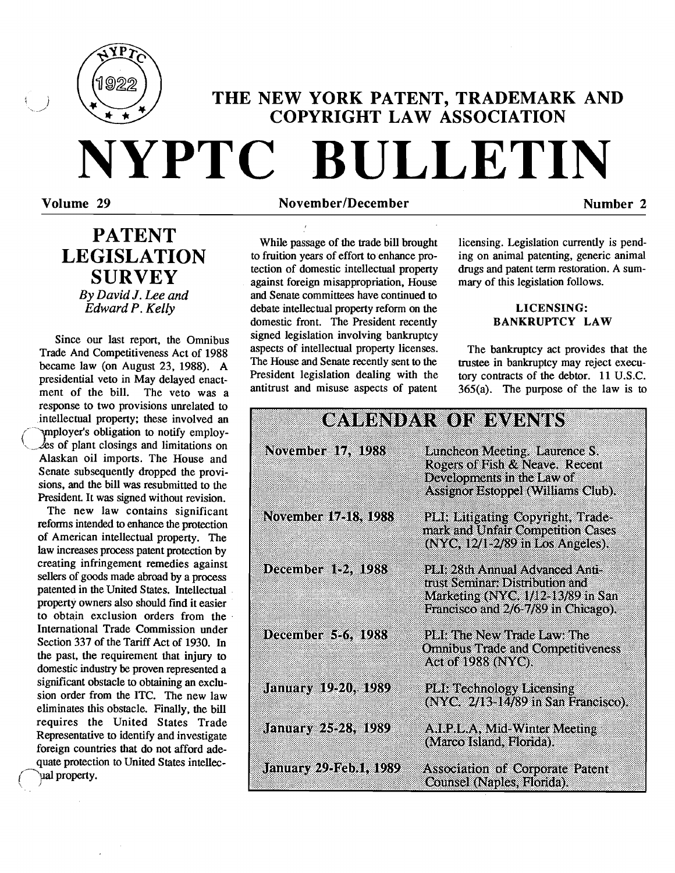

# THE NEW YORK PATENT, TRADEMARK AND COPYRIGHT LAW ASSOCIATION

## Volume 29 NovemberIDecember Number 2

**NYPTC BULLETIN** 

# PATENT LEGISLATION **SURVEY**

*By David* J. *Lee and Edward P. Kelly* 

Since our last report, the Omnibus Trade And Competitiveness Act of 1988 became law (on August 23, 1988). A presidential veto in May delayed enactment of the bill. The veto was a response to two provisions unrelated to intellectual property; these involved an ( 'vnployer's obligation to notify employ  $\ell$ es of plant closings and limitations on Alaskan oil imports. The House and Senate subsequently dropped the provisions, and the bill was resubmitted to the President. It was signed without revision.

The new law contains significant reforms intended to enhance the protection of American intellectual property. The law increases process patent protection by creating infringement remedies against sellers of goods made abroad by a process patented in the United States. Intellectual property owners also should find it easier to obtain exclusion orders from the International Trade Commission under Section 337 of the Tariff Act of 1930. In the past, the requirement that injury to domestic industry be proven represented a significant obstacle to obtaining an exclusion order from the ITC. The new law eliminates this obstacle. Finally, the bill requires the United States Trade Representative to identify and investigate foreign countries that do not afford adequate protection to United States intellec ual property.

While passage of the trade bill brought to fruition years of effort to enhance protection of domestic intellectual property against foreign misappropriation, House and Senate committees have continued to debate intellectual property reform on the domestic front. The President recently signed legislation involving bankruptcy aspects of intellectual property licenses. The House and Senate recently sent to the President legislation dealing with the antitrust and misuse aspects of patent licensing. Legislation currently is pending on animal patenting, generic animal drugs and patent term restoration. A summary of this legislation follows.

### LICENSING: BANKRUPTCY LAW

The bankruptcy act provides that the trustee in bankruptcy may reject executory contracts of the debtor. 11 U.S.C.  $365(a)$ . The purpose of the law is to

### **CAUBNDAR OF BYBNIS** November 17, 1988 Luncheon Meeting. Laurence S. Rogers of Fish & Neave. Recent Developments in the Law of Assignor Estoppel (Williams Club). November 17-18, 1988 PLI: Litigating Copyright, Trademark and Unfair Competition Cases  $(NYC, 12/12/89$  in Los Angeles). PLI: 28th Annual Advanced Anti-December 1-2, 1988 trust Semmar: Distribution and Marketing (NYC, 1/12-13/89 in San Francisco and 2/6-7/89 in Chicago). December 5-6, 1988 PH: The New Trade Law The **Omnibus Trade and Competitiveness Act of 1988 (NYC).** January 19-20, 1989 PLI: Technology Licensing (NYC. 2/13-14/89 in San Francisco). January 25-28, 1989 A.I.P.L.A. Mid-Winter Meeting (Marco Island, Florida). **January 29-Feb.1, 1989 Association of Corporate Patent** Counsel (Naples, Florida).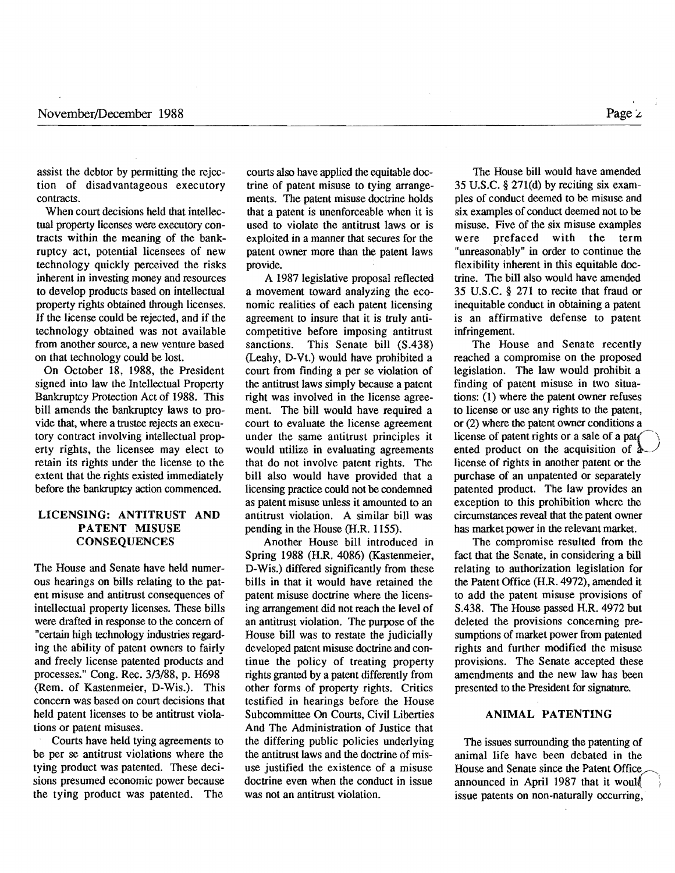assist the debtor by permitting the rejection of disadvantageous executory contracts.

When court decisions held that intellectual property licenses were executory contracts within the meaning of the bankruptcy act, potential licensees of new technology quickly perceived the risks inherent in investing money and resources to develop products based on intellectual property rights obtained through licenses. If the license could be rejected, and if the technology obtained was not available from another source, a new venture based on that technology could be lost.

On October 18. 1988, the President signed into law the Intellectual Property Bankruptcy Protection Act of 1988. This bill amends the bankruptcy laws to provide that, where a trustee rejects an executory contract involving intellectual property rights, the licensee may elect to retain its rights under the license to the extent that the rights existed immediately before the bankruptcy action commenced.

### LICENSING: ANTITRUST AND PATENT MISUSE CONSEQUENCES

The House and Senate have held numerous hearings on bills relating to the patent misuse and antitrust consequences of intellectual property licenses. These bills were drafted in response to the concern of "certain high technology industries regarding the ability of patent owners to fairly and freely license patented products and processes." Cong. Rec. 3/3/88, p. H698 (Rem. of Kastenmeier. D-Wis.). This concern was based on court decisions that held patent licenses to be antitrust violations or patent misuses.

Courts have held tying agreements to be per se antitrust violations where the tying product was patented. These decisions presumed economic power because the tying product was patented. The courts also have applied the equitable doctrine of patent misuse to tying arrangements. The patent misuse doctrine holds that a patent is unenforceable when it is used to violate the antitrust laws or is exploited in a manner that secures for the patent owner more than the patent laws provide.

A 1987 legislative proposal reflected a movement toward analyzing the economic realities of each patent licensing agreement to insure that it is truly anticompetitive before imposing antitrust sanctions. This Senate bill (S.438) (Leahy, D-Vt.) would have prohibited a court from finding a per se violation of the antitrust laws simply because a patent right was involved in the license agreement. The bill would have required a court to evaluate the license agreement under the same antitrust principles it would utilize in evaluating agreements that do not involve patent rights. The bill also would have provided that a licensing practice could not be condemned as patent misuse unless it amounted to an antitrust violation. A similar bill was pending in the House (H.R. 1155).

Another House bill introduced in Spring 1988 (H.R. 4086) (Kastenmeier, D-Wis.) differed significantly from these bills in that it would have retained the patent misuse doctrine where the licensing arrangement did not reach the level of an antitrust violation. The purpose of the House bill was to restate the judicially developed patent misuse doctrine and continue the policy of treating property rights granted by a patent differently from other forms of property rights. Critics testified in hearings before the House Subcommittee On Courts, Civil Liberties And The Administration of Justice that the differing public policies underlying the antitrust laws and the doctrine of misuse justified the existence of a misuse doctrine even when the conduct in issue was not an antitrust violation.

The House bill would have amended 35 U.S.C.  $\S 271(d)$  by reciting six examples of conduct deemed to be misuse and six examples of conduct deemed not to be misuse. Five of the six misuse examples were prefaced with the term "unreasonably" in order to continue the flexibility inherent in this equitable doctrine. The bill also would have amended 35 U.S.C. § 271 to recite that fraud or inequitable conduct in obtaining a patent is an affirmative defense to patent infringement.

The House and Senate recently reached a compromise on the proposed legislation. The law would prohibit a finding of patent misuse in two situations: (1) where the patent owner refuses to license or use any rights to the patent, or (2) where the patent owner conditions a license of patent rights or a sale of a pat $\epsilon$ ented product on the acquisition of  $\triangle$ license of rights in another patent or the purchase of an unpatented or separately patented product. The law provides an exception to this prohibition where the circumstances reveal that the patent owner has market power in the relevant market.

The compromise resulted from the fact that the Senate, in considering a bill relating to authorization legislation for the Patent Office (H.R. 4972), amended it to add the patent misuse provisions of S.438. The House passed H.R. 4972 but deleted the provisions concerning presumptions of market power from patented rights and further modified the misuse provisions. The Senate accepted these amendments and the new law has been presented to the President for signature.

#### ANIMAL PATENTING

The issues surrounding the patenting of animal life have been debated in the House and Senate since the Patent Office announced in April 1987 that it would. issue patents on non-naturally occurring,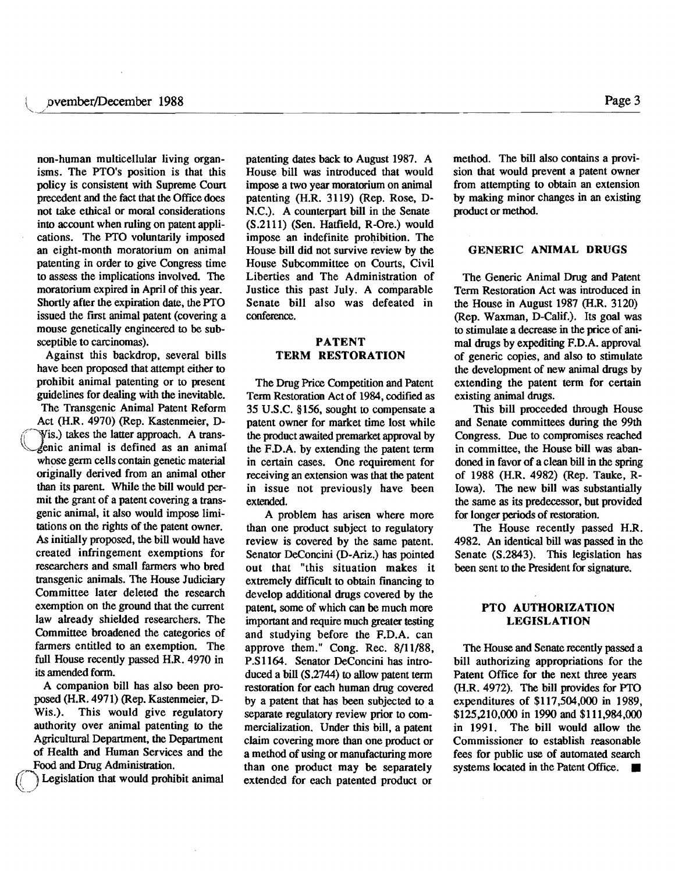non-human multicellular living organisms. The PTO's position is that this policy is consistent with Supreme Court precedent and the fact that the Office does not take ethical or moral considerations into account when ruling on patent applications. The PTO voluntarily imposed an eight-month moratorium on animal patenting in order to give Congress time to assess the implications involved. The moratorium expired in April of this year. Shortly after the expiration date, the PTO issued the first animal patent (covering a mouse genetically engineered to be subsceptible to carcinomas).

Against this backdrop, several bills have been proposed that attempt either to prohibit animal patenting or to present guidelines for dealing with the inevitable.

The Transgenic Animal Patent Reform Act (H.R. 4970) (Rep. Kastenmeier, D-Wis.) takes the latter approach. A trans-<br>A enic animal is defined as an animal whose germ cells contain genetic material originally derived from an animal other than its parent. While the bill would permit the grant of a patent covering a transgenic animal, it also would impose limitations on the rights of the patent owner. As initially proposed, the bill would have created infringement exemptions for researchers and small farmers who bred transgenic animals. The House Judiciary Committee later deleted the research exemption on the ground that the current law already shielded researchers. The Committee broadened the categories of farmers entitled to an exemption. The full House recently passed H.R. 4970 in its amended form.

A companion bill has also been proposed (H.R. 4971) (Rep. Kastenmeier, D-Wis.). This would give regulatory authority over animal patenting to the Agricultural Department, the Department of Health and Human Services and the Food and Drug Administration.

Legislation that would prohibit animal

patenting dates back to August 1987. A House bill was introduced that would impose a two year moratorium on animal patenting (H.R. 3119) (Rep. Rose, D-N.C.). A counterpart bill in the Senate (S.2111) (Sen. Hatfield, R -Ore.) would impose an indefinite prohibition. The House bill did not survive review by the House Subcommittee on Courts, Civil Liberties and The Administration of Justice this past July. A comparable Senate bill also was defeated in conference.

~.~/~.--------------------------~--------------------------------------------------------

### PATENT TERM RESTORATION

The Drug Price Competition and Patent Term Restoration Act of 1984, codified as 35 U.S.C. §156, sought to compensate a patent owner for market time lost while the product awaited premarket approval by the F.D.A. by extending the patent term in certain cases. One requirement for receiving an extension was that the patent in issue not previously have been extended.

A problem has arisen where more than one product subject to regulatory review is covered by the same patent. Senator DeConcini (D-Ariz.) has pointed out that "this situation makes it extremely difficult to obtain financing to develop additional drugs covered by the patent, some of which can be much more important and require much greater testing and studying before the F.D.A. can approve them." Cong. Rec.  $8/11/88$ , P.S1164. Senator DeConcini has introduced a bill  $(S.2744)$  to allow patent term restoration for each human drug covered by a patent that has been subjected to a separate regulatory review prior to commercialization. Under this bill, a patent claim covering more than one product or a method of using or manufacturing more than one product may be separately extended for each patented product or

method. The bill also contains a provision that would prevent a patent owner from attempting to obtain an extension by making minor changes in an existing product or method.

### GENERIC ANIMAL DRUGS

The Generic Animal Drug and Patent Term Restoration Act was introduced in the House in August 1987 (H.R. 3120) (Rep. Waxman, D-Calif.). Its goal was to stimulate a decrease in the price of animal drugs by expediting F.D.A. approval of generic copies, and also to stimulate the development of new animal drugs by extending the patent term for certain existing animal drugs.

This bill proceeded through House and Senate committees during the 99th Congress. Due to compromises reached in committee, the House bill was abandoned in favor of a clean bill in the spring of 1988 (H.R. 4982) (Rep. Tauke, R-Iowa). The new bill was substantially the same as its predecessor, but provided for longer periods of restoration.

The House recently passed H.R. 4982. An identical bill was passed in the Senate (S.2843). This legislation has been sent to the President for signature.

### PTO AUTHORIZATION LEGISLATION

The House and Senate recently passed a bill authorizing appropriations for the Patent Office for the next three years (H.R.4972). The bill provides for PTO expenditures of \$117,504,000 in 1989, \$125,210,000 in 1990 and \$111,984,000 in 1991. The bill would allow the Commissioner to establish reasonable fees for public use of automated search systems located in the Patent Office. •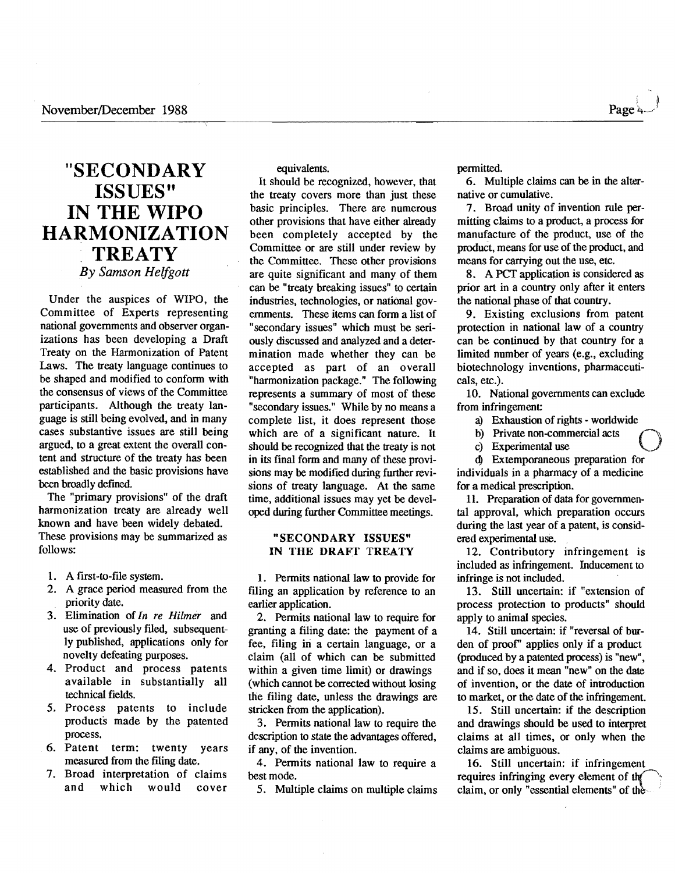# **"SECONDARY ISSUES" IN THE WIPO HARMONIZATION TREATY** *By Samson Helfgott*

Under the auspices of WIPO, the Committee of Experts representing national governments and observer organizations has been developing a Draft Treaty on the Harmonization of Patent Laws. The treaty language continues to be shaped and modified to conform with the consensus of views of the Committee participants. Although the treaty language is still being evolved, and in many cases substantive issues are still being argued, to a great extent the overall content and structure of the treaty has been established and the basic provisions have been broadly defined.

The "primary provisions" of the draft harmonization treaty are already well known and have been widely debated. These provisions may be summarized as follows:

- 1. A first-to-file system.
- 2. A grace period measured from the priority date.
- 3. Elimination of *In re Hilmer* and use of previously filed, subsequently published, applications only for novelty defeating purposes.
- 4. Product and process patents available in substantially all technical fields.
- 5. Process patents to include products made by the patented process.
- 6. Patent term: twenty years measured from the filing date.
- 7. Broad interpretation of claims and which would cover

equivalents.

It should be recognized, however, that the treaty covers more than just these basic principles. There are numerous other provisions that have either already been completely accepted by the Committee or are still under review by the Committee. These other provisions are quite significant and many of them can be "treaty breaking issues" to certain industries, technologies, or national governments. These items can form a list of "secondary issues" which must be seriously discussed and analyzed and a determination made whether they can be accepted as part of an overall "harmonization package." The following represents a summary of most of these "secondary issues." While by no means a complete list, it does represent those which are of a significant nature. It should be recognized that the treaty is not in its final form and many of these provisions may be modified during further revisions of treaty language. At the same time, additional issues may yet be developed during further Committee meetings.

#### "SECONDARY ISSUES" IN THE DRAFT TREATY

1. Permits national law to provide for filing an application by reference to an earlier application.

2. Permits national law to require for granting a filing date: the payment of a fee, filing in a certain language, or a claim (all of which can be submitted within a given time limit) or drawings (which cannot be corrected without losing the filing date, unless the drawings are stricken from the application).

3. Permits national law to require the description to state the advantages offered, if any, of the invention.

4. Permits national law to require a best mode.

5. Multiple claims on multiple claims

permitted.

6. Multiple claims can be in the alternative or cumulative.

7. Broad unity of invention rule permitting claims to a product, a process for manufacture of the product, use of the product, means for use of the product, and means for carrying out the use, etc.

8. A PCT application is considered as prior art in a country only after it enters the national phase of that country.

9. Existing exclusions from patent protection in national law of a country can be continued by that country for a limited number of years (e.g., excluding biotechnology inventions, pharmaceuticals, etc.).

10. National governments can exclude from infringement

a) Exhaustion of rights - worldwide<br>b) Private non-commercial acts

c) Experimental use

<sup>~</sup>Extemporaneous preparation for individuals in a pharmacy of a medicine for a medical prescription.

II. Preparation of data for governmental approval, which preparation occurs during the last year of a patent, is considered experimental use.

12. Contributory infringement is included as infringement. Inducement to infringe is not included.

13. Still uncertain: if "extension of process protection to products" should apply to animal species.

14. Still uncertain: if "reversal of burden of proof' applies only if a product (produced by a patented process) is "new", and if so, does it mean "new" on the date of invention, or the date of introduction to market, or the date of the infringement.

15. Still uncertain: if the description and drawings should be used to interpret claims at all times, or only when the claims are ambiguous.

16. Still uncertain: if infringement requires infringing every element of the claim, or only "essential elements" of the .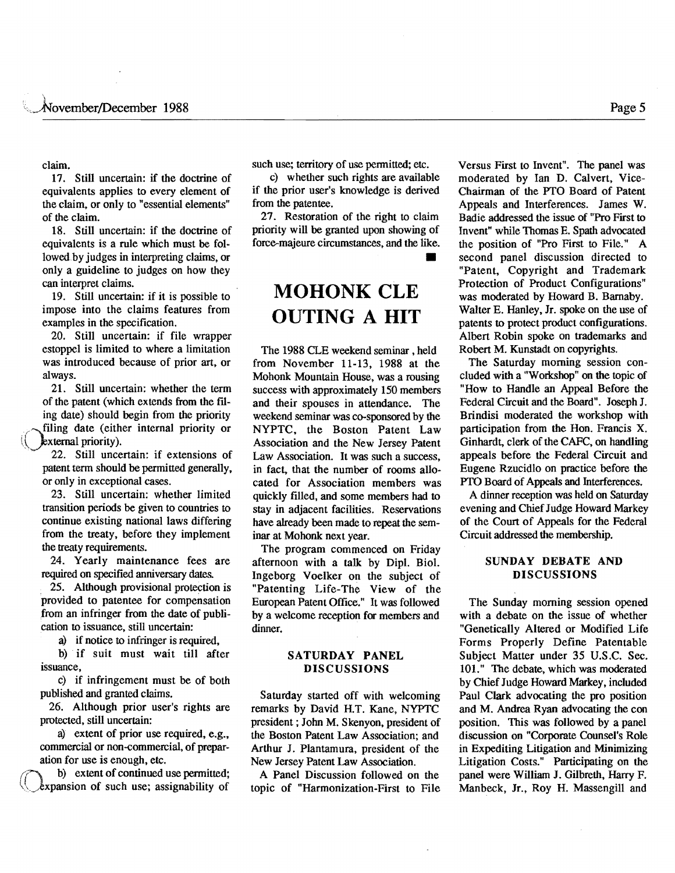claim.

17. Still uncertain: if the doctrine of equivalents applies to every element of the claim, or only to "essential elements" of the claim.

18. Still uncertain: if the doctrine of equivalents is a rule which must be followed.by judges in interpreting claims, or only a guideline to judges on how they can interpret claims.

19. Still uncertain: if it is possible to impose into the claims features from examples in the specification.

20. Still uncertain: if file wrapper estoppel is limited to where a limitation was introduced because of prior art, or always.

21. Still uncertain: whether the term of the patent (which extends from the fIling date) should begin from the priority filing date (either internal priority or \\.yxternal priority).

22. Still uncertain: if extensions of patent term should be permitted generally, or only in exceptional cases.

23. Still uncertain: whether limited transition periods be given to countries to continue existing national laws differing from the treaty, before they implement the treaty requirements.

24. Yearly maintenance fees are required on specified anniversary dates.

25. Although provisional protection is provided to patentee for compensation from an infringer from the date of publication to issuance, still uncertain:

a) if notice to infringer is required,

b) if suit must wait till after issuance,

c) if infringement must be of both published and granted claims.

26. Although prior user's rights are protected, still uncertain:

a) extent of prior use required, e.g., commercial or non-commercial, of preparation for use is enough, etc.

b) extent of continued use permitted;  $\&$ xpansion of such use; assignability of

such use; territory of use permitted; etc.

c) whether such rights are available if the prior user's knowledge is derived from the patentee.

27. Restoration of the right to claim priority will be granted upon showing of force-majeure circumstances, and the like. •

# **MOHONK CLE OUTING A HIT**

The 1988 CLE weekend seminar, held from November 11-13, 1988 at the Mohonk Mountain House, was a rousing success with approximately 150 members and their spouses in attendance. The weekend seminar was co-sponsored by the NYPTC, the Boston Patent Law Association and the New Jersey Patent Law Association. It was such a success, in fact, that the number of rooms allocated for Association members was quickly filled, and some members had to stay in adjacent facilities. Reservations have already been made to repeat the seminar at Mohonk next year.

The program commenced on Friday afternoon with a talk by DipI. BioI. Ingeborg Voelker on the subject of "Patenting Life-The View of the European Patent Office." It was followed by a welcome reception for members and dinner.

### SATURDAY PANEL DISCUSSIONS

Saturday started off with welcoming remarks by David H.T. Kane, NYPTC president; John M. Skenyon, president of the Boston Patent Law Association; and Arthur J. Plantamura, president of the New Jersey Patent Law Association.

A Panel Discussion followed on the topic of "Harmonization-First to File Versus First to Invent". The panel was moderated by Ian D. Calvert, Vice-Chairman of the PTO Board of Patent Appeals and Interferences. James W. Badie addressed the issue of "Pro First to Invent" while Thomas E. Spath advocated the position of "Pro First to File." A second panel discussion directed to "Patent, Copyright and Trademark Protection of Product Configurations" was moderated by Howard B. Barnaby. Walter E. Hanley, Jr. spoke on the use of patents to protect product configurations. Albert Robin spoke on trademarks and Robert M. Kunstadt on copyrights.

The Saturday morning session concluded with a "Workshop" on the topic of "How to Handle an Appeal Before the Federal Circuit and the Board". Joseph J. Brindisi moderated the workshop with participation from the Hon. Francis X. Ginhardt, clerk of the CAFC, on handling appeals before the Federal Circuit and Eugene Rzucidlo on practice before the PTO Board of Appeals and Interferences.

A dinner reception was held on Saturday evening and Chief Judge Howard Markey of the Court of Appeals for the Federal Circuit addressed the membership.

### SUNDAY DEBATE AND DISCUSSIONS

The Sunday morning session opened with a debate on the issue of whether "Genetically Altered or Modified Life Forms Properly Define Patentable Subject Matter under 35 U.S.C. Sec. 101." The debate, which was moderated by Chief Judge Howard Markey, included Paul Clark advocating the pro position and M. Andrea Ryan advocating the con position. This was followed by a panel discussion on "Corporate Counsel's Role in Expediting Litigation and Minimizing Litigation Costs." Participating on the panel were William J. Gilbreth, Harry F. Manbeck, Jr., Roy H. Massengill and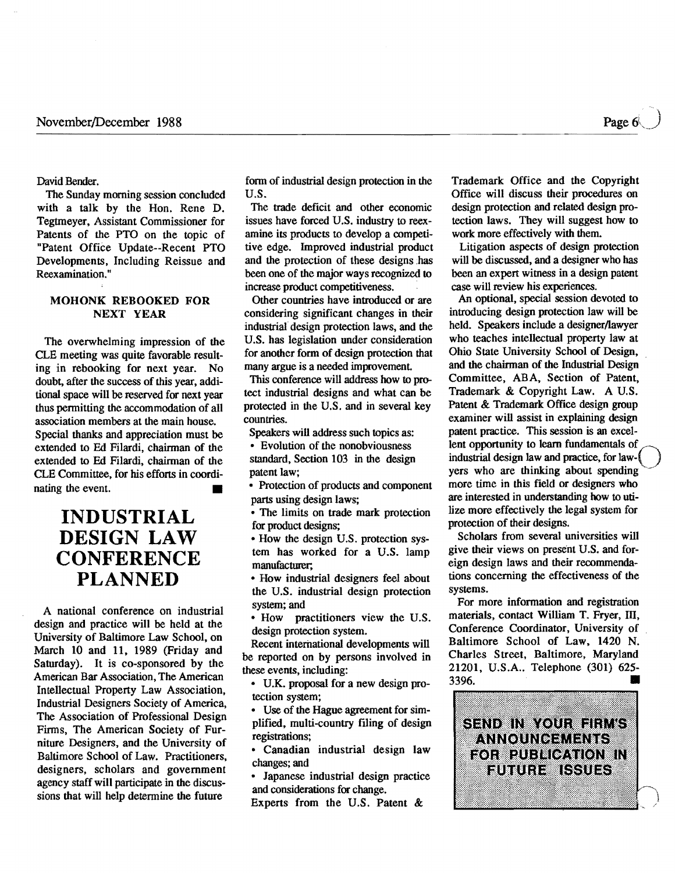Page 6

David Bender.

The Sunday morning session concluded with a talk by the Hon. Rene D. Tegtmeyer, Assistant Commissioner for Patents of the PTO on the topic of "Patent Office Update--Recent PTO Developments, Including Reissue and Reexamination. "

### MOHONK REBOOKED FOR NEXT YEAR

The overwhelming impression of the CLE meeting was quite favorable resulting in rebooking for next year. No doubt, after the success of this year, additional space will be reserved for next year thus permitting the accommodation of all association members at the main house. Special thanks and appreciation must be extended to Ed Filardi, chairman of the extended to Ed Filardi, chairman of the CLE Committee, for his efforts in coordinating the event.

# **INDUSTRIAL DESIGN LAW CONFERENCE PLANNED**

A national conference on industrial design and practice will be held at the University of Baltimore Law School, on March 10 and 11, 1989 (Friday and Saturday). It is co-sponsored by the American Bar Association, The American Intellectual Property Law Association, Industrial Designers Society of America, The Association of Professional Design Firms, The American Society of Furniture Designers, and the University of Baltimore School of Law. Practitioners, designers, scholars and government agency staff will participate in the discussions that will help determine the future

form of industrial design protection in the U.S.

The trade deficit and other economic issues have forced U.S. industry to reexamine its products to develop a competitive edge. Improved industrial product and the protection of these designs has been one of the major ways recognized to increase product competitiveness. .

Other countries have introduced or are considering significant changes in their industrial design protection laws, and the U.S. has legislation under consideration for another form of design protection that many argue is a needed improvement

This conference will address how to protect industrial designs and what can be protected in the U.S. and in several key countries.

Speakers will address such topics as:

• Evolution of the nonobviousness standard, Section 103 in the design patent law;

• Protection of products and component parts using design laws;

• The limits on trade mark protection for product designs;

• How the design U.S. protection system has worked for a U.S. lamp manufacturer;

• How industrial designers feel about the U.S. industrial design protection system; and

• How practitioners view the U.S. design protection system.

Recent international developments will be reported on by persons involved in these events, including:

• U.K. proposal for a new design protection system;

• Use of the Hague agreement for simplified, multi-country filing of design registrations;

• Canadian industrial design law changes; and

• Japanese industrial design practice and considerations for change.

Experts from the U.S. Patent &

Trademark Office and the Copyright Office will discuss their procedures on design protection and related design protection laws. They will suggest how to work more effectively with them.

Litigation aspects of design protection will be discussed, and a designer who has been an expert witness in a design patent case will review his experiences.

An optional, special session devoted to introducing design protection law will be held. Speakers include a designer/lawyer who teaches intellectual property law at Ohio State University School of Design, and the chairman of the Industrial Design Committee, ABA, Section of Patent, Trademark & Copyright Law. A U.S. Patent & Trademark Office design group examiner will assist in explaining design patent practice. This session is an excellent opportunity to learn fundamentals of industrial design law and practice, for lawyers who are thinking about spendingmore time in this field or designers who are interested in understanding how to utilize more effectively the legal system for protection of their designs.

Scholars from several universities will give their views on present U.S. and foreign design laws and their recommendations concerning the effectiveness of the systems.

For more information and registration materials, contact William T. Fryer, III, Conference Coordinator, University of Baltimore School of Law, 1420 N. Charles Street, Baltimore, Maryland 21201, U.S.A.. Telephone (301) 625 3396. •

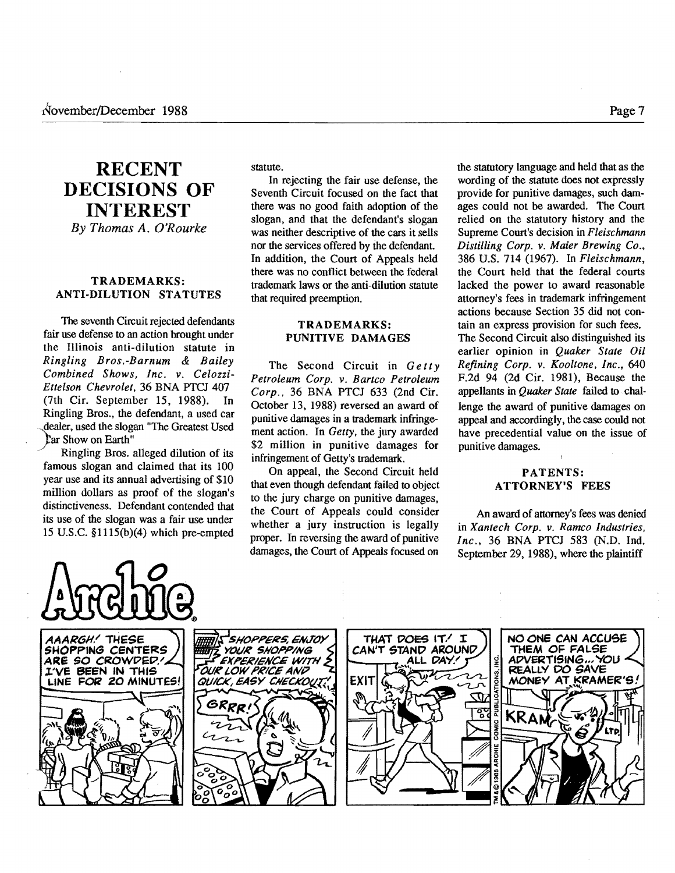# **RECENT DECISIONS OF INTEREST** *By Thomas A. O'Rourke*

## TRADEMARKS: ANTI-DILUTION STATUTES

The seventh Circuit rejected defendants fair use defense to an action brought under the Illinois anti-dilution statute in *Ringling BrOS.-Barnum* & *Bailey Combined Shows, Inc.* v. *Celozzi-Ettelson Chevrolet.* 36 BNA PTC] 407 (7th Cir. September 15, 1988). In Ringling Bros., the defendant, a used car dealer, used the slogan "The Greatest Used far Show on Earth"

Ringling Bros. alleged dilution of its famous slogan and claimed that its 100 year use and its annual advertising of \$10 million dollars as proof of the slogan's distinctiveness. Defendant contended that its use of the slogan was a fair use under 15 U.S.C. §1115(b)(4) which pre-empted statute.

In rejecting the fair use defense, the Seventh Circuit focused on the fact that there was no good faith adoption of the slogan, and that the defendant's slogan was neither descriptive of the cars it sells nor the services offered by ihe defendant In addition, the Court of Appeals held there was no conflict between the federal trademark laws or the anti-dilution statute that required preemption.

#### TRADEMARKS: PUNITIVE DAMAGES

The Second Circuit in *Getty Petroleum Corp.* v. *Bartco Petroleum Corp..* 36 BNA PTC] 633 (2nd Cir. October 13, 1988) reversed an award of punitive damages in a trademark infringement action. In *Getty.* the jury awarded \$2 million in punitive damages for infringement of Getty's trademark.

On appeal, the Second Circuit held that even though defendant failed to object to the jury charge on punitive damages, the Court of Appeals could consider whether a jury instruction is legally proper. In reversing the award of punitive damages, the Court of Appeals focused on

the statutory language and held that as the wording of the statute does not expressly provide for punitive damages, such damages could not be awarded. The Court relied on the statutory history and the Supreme Court's decision in *Fleischmann Distilling Corp.* v. *Maier Brewing Co.,*  386 U.S. 714 (1967). In *Fleischmann,*  the Court held that the federal courts lacked the power to award reasonable attorney's fees in trademark infringement actions because Section 35 did not contain an express provision for such fees. The Second Circuit also distinguished its earlier opinion in *Quaker State Oil Refining Corp.* v. *Kooltone. Inc., 640*  F.2d 94 (2d Cir. 1981), Because the appellants in *Quaker State* failed to challenge the award of punitive damages on appeal and accordingly, the case could not have precedential value on the issue of punitive damages.

## PATENTS: ATTORNEY'S FEES

An award of attorney's fees was denied in *Xantech Corp.* v. *Ramco Industries. Inc.,* 36 BNA PTC] 583 (N.D. Ind. September 29, 1988), where the plaintiff